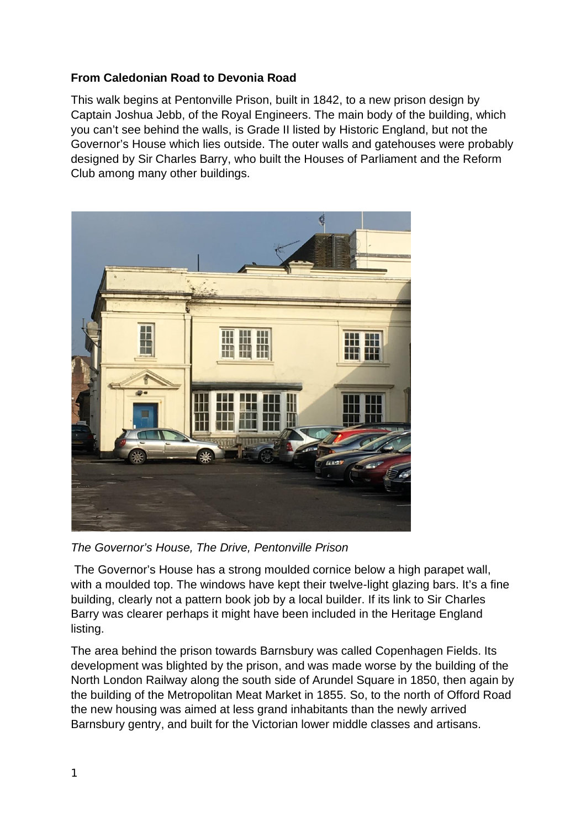## **From Caledonian Road to Devonia Road**

This walk begins at Pentonville Prison, built in 1842, to a new prison design by Captain Joshua Jebb, of the Royal Engineers. The main body of the building, which you can't see behind the walls, is Grade II listed by Historic England, but not the Governor's House which lies outside. The outer walls and gatehouses were probably designed by Sir Charles Barry, who built the Houses of Parliament and the Reform Club among many other buildings.



*The Governor's House, The Drive, Pentonville Prison*

The Governor's House has a strong moulded cornice below a high parapet wall, with a moulded top. The windows have kept their twelve-light glazing bars. It's a fine building, clearly not a pattern book job by a local builder. If its link to Sir Charles Barry was clearer perhaps it might have been included in the Heritage England listing.

The area behind the prison towards Barnsbury was called Copenhagen Fields. Its development was blighted by the prison, and was made worse by the building of the North London Railway along the south side of Arundel Square in 1850, then again by the building of the Metropolitan Meat Market in 1855. So, to the north of Offord Road the new housing was aimed at less grand inhabitants than the newly arrived Barnsbury gentry, and built for the Victorian lower middle classes and artisans.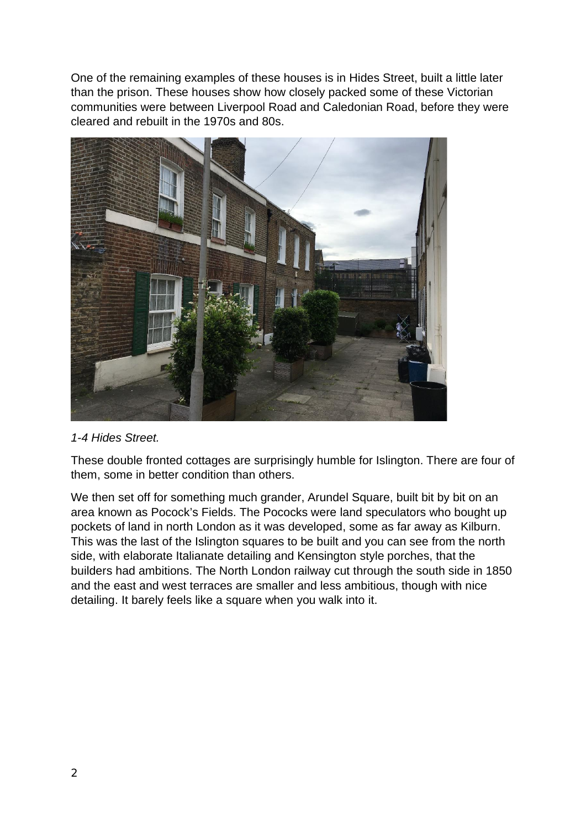One of the remaining examples of these houses is in Hides Street, built a little later than the prison. These houses show how closely packed some of these Victorian communities were between Liverpool Road and Caledonian Road, before they were cleared and rebuilt in the 1970s and 80s.



## *1-4 Hides Street.*

These double fronted cottages are surprisingly humble for Islington. There are four of them, some in better condition than others.

We then set off for something much grander, Arundel Square, built bit by bit on an area known as Pocock's Fields. The Pococks were land speculators who bought up pockets of land in north London as it was developed, some as far away as Kilburn. This was the last of the Islington squares to be built and you can see from the north side, with elaborate Italianate detailing and Kensington style porches, that the builders had ambitions. The North London railway cut through the south side in 1850 and the east and west terraces are smaller and less ambitious, though with nice detailing. It barely feels like a square when you walk into it.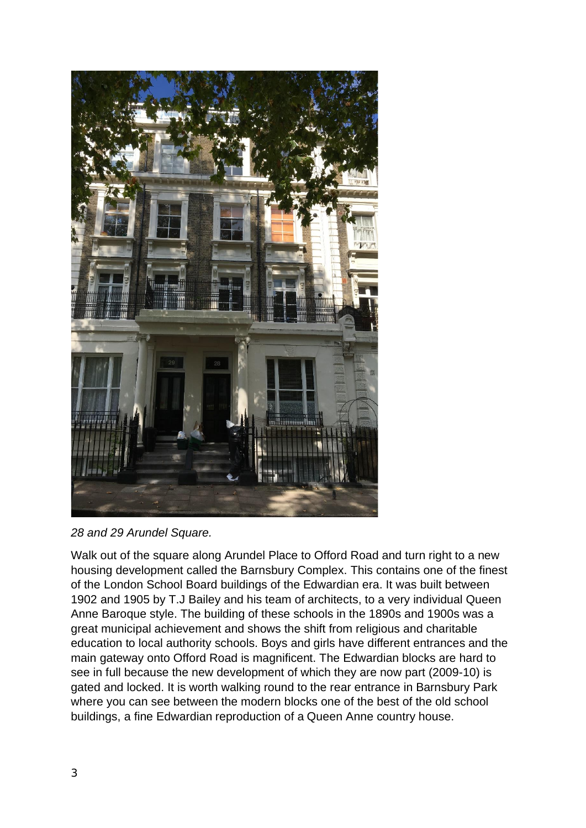

*28 and 29 Arundel Square.*

Walk out of the square along Arundel Place to Offord Road and turn right to a new housing development called the Barnsbury Complex. This contains one of the finest of the London School Board buildings of the Edwardian era. It was built between 1902 and 1905 by T.J Bailey and his team of architects, to a very individual Queen Anne Baroque style. The building of these schools in the 1890s and 1900s was a great municipal achievement and shows the shift from religious and charitable education to local authority schools. Boys and girls have different entrances and the main gateway onto Offord Road is magnificent. The Edwardian blocks are hard to see in full because the new development of which they are now part (2009-10) is gated and locked. It is worth walking round to the rear entrance in Barnsbury Park where you can see between the modern blocks one of the best of the old school buildings, a fine Edwardian reproduction of a Queen Anne country house.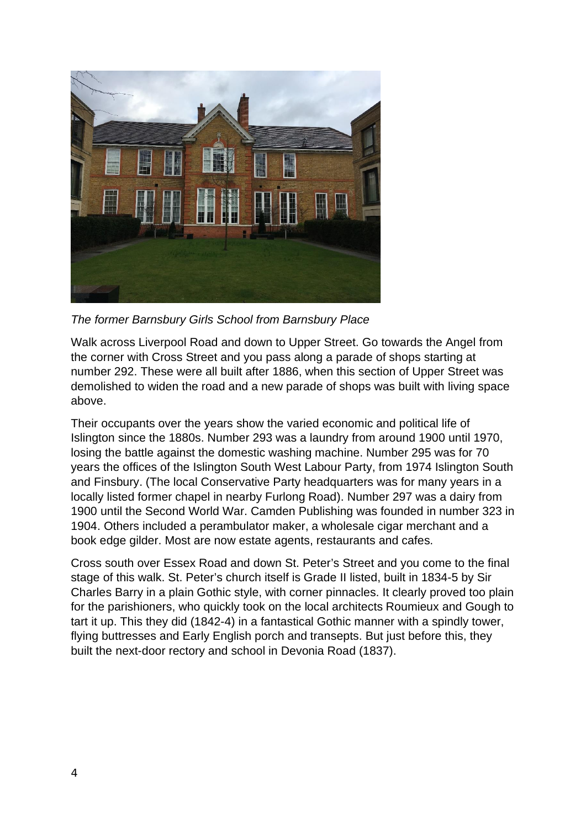

*The former Barnsbury Girls School from Barnsbury Place*

Walk across Liverpool Road and down to Upper Street. Go towards the Angel from the corner with Cross Street and you pass along a parade of shops starting at number 292. These were all built after 1886, when this section of Upper Street was demolished to widen the road and a new parade of shops was built with living space above.

Their occupants over the years show the varied economic and political life of Islington since the 1880s. Number 293 was a laundry from around 1900 until 1970, losing the battle against the domestic washing machine. Number 295 was for 70 years the offices of the Islington South West Labour Party, from 1974 Islington South and Finsbury. (The local Conservative Party headquarters was for many years in a locally listed former chapel in nearby Furlong Road). Number 297 was a dairy from 1900 until the Second World War. Camden Publishing was founded in number 323 in 1904. Others included a perambulator maker, a wholesale cigar merchant and a book edge gilder. Most are now estate agents, restaurants and cafes.

Cross south over Essex Road and down St. Peter's Street and you come to the final stage of this walk. St. Peter's church itself is Grade II listed, built in 1834-5 by Sir Charles Barry in a plain Gothic style, with corner pinnacles. It clearly proved too plain for the parishioners, who quickly took on the local architects Roumieux and Gough to tart it up. This they did (1842-4) in a fantastical Gothic manner with a spindly tower, flying buttresses and Early English porch and transepts. But just before this, they built the next-door rectory and school in Devonia Road (1837).